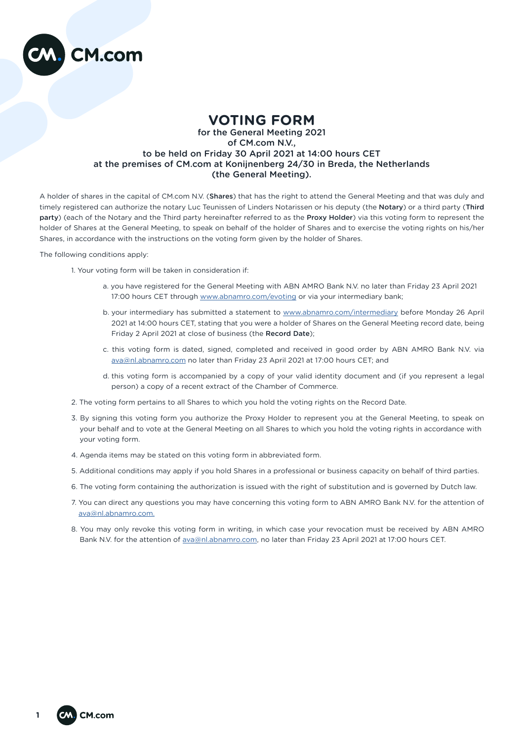

## **VOTING FORM**

## for the General Meeting 2021 of CM.com N.V., to be held on Friday 30 April 2021 at 14:00 hours CET at the premises of CM.com at Konijnenberg 24/30 in Breda, the Netherlands (the General Meeting).

A holder of shares in the capital of CM.com N.V. (Shares) that has the right to attend the General Meeting and that was duly and timely registered can authorize the notary Luc Teunissen of Linders Notarissen or his deputy (the Notary) or a third party (Third party) (each of the Notary and the Third party hereinafter referred to as the Proxy Holder) via this voting form to represent the holder of Shares at the General Meeting, to speak on behalf of the holder of Shares and to exercise the voting rights on his/her Shares, in accordance with the instructions on the voting form given by the holder of Shares.

The following conditions apply:

- 1. Your voting form will be taken in consideration if:
	- a. you have registered for the General Meeting with ABN AMRO Bank N.V. no later than Friday 23 April 2021 17:00 hours CET through [www.abnamro.com/evoting](mailto:www.abnamro.com/evoting?subject=) or via your intermediary bank;
	- b. your intermediary has submitted a statement to [www.abnamro.com/intermediary](mailto:www.abnamro.com/intermediary?subject=) before Monday 26 April 2021 at 14:00 hours CET, stating that you were a holder of Shares on the General Meeting record date, being Friday 2 April 2021 at close of business (the Record Date);
	- c. this voting form is dated, signed, completed and received in good order by ABN AMRO Bank N.V. via [ava@nl.abnamro.com](mailto:ava%40nl.abnamro.com?subject=) no later than Friday 23 April 2021 at 17:00 hours CET; and
	- d. this voting form is accompanied by a copy of your valid identity document and (if you represent a legal person) a copy of a recent extract of the Chamber of Commerce.
- 2. The voting form pertains to all Shares to which you hold the voting rights on the Record Date.
- 3. By signing this voting form you authorize the Proxy Holder to represent you at the General Meeting, to speak on your behalf and to vote at the General Meeting on all Shares to which you hold the voting rights in accordance with your voting form.
- 4. Agenda items may be stated on this voting form in abbreviated form.
- 5. Additional conditions may apply if you hold Shares in a professional or business capacity on behalf of third parties.
- 6. The voting form containing the authorization is issued with the right of substitution and is governed by Dutch law.
- 7. You can direct any questions you may have concerning this voting form to ABN AMRO Bank N.V. for the attention of [ava@nl.abnamro.com.](mailto:ava%40nl.abnamro.com.?subject=)
- 8. You may only revoke this voting form in writing, in which case your revocation must be received by ABN AMRO Bank N.V. for the attention of [ava@nl.abnamro.com](mailto:ava%40nl.abnamro.com?subject=), no later than Friday 23 April 2021 at 17:00 hours CET.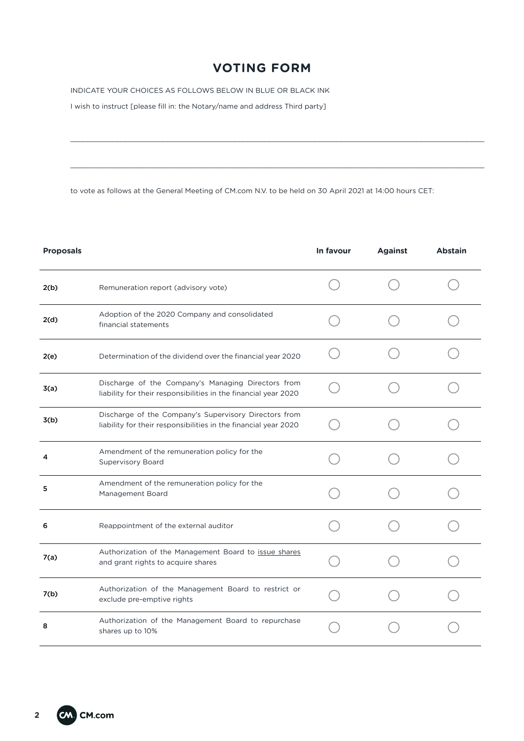## **VOTING FORM**

\_\_\_\_\_\_\_\_\_\_\_\_\_\_\_\_\_\_\_\_\_\_\_\_\_\_\_\_\_\_\_\_\_\_\_\_\_\_\_\_\_\_\_\_\_\_\_\_\_\_\_\_\_\_\_\_\_\_\_\_\_\_\_\_\_\_\_\_\_\_\_\_\_\_\_\_\_\_\_\_\_\_\_\_\_\_\_\_\_\_\_\_\_\_\_\_\_\_

\_\_\_\_\_\_\_\_\_\_\_\_\_\_\_\_\_\_\_\_\_\_\_\_\_\_\_\_\_\_\_\_\_\_\_\_\_\_\_\_\_\_\_\_\_\_\_\_\_\_\_\_\_\_\_\_\_\_\_\_\_\_\_\_\_\_\_\_\_\_\_\_\_\_\_\_\_\_\_\_\_\_\_\_\_\_\_\_\_\_\_\_\_\_\_\_\_\_

INDICATE YOUR CHOICES AS FOLLOWS BELOW IN BLUE OR BLACK INK

I wish to instruct [please fill in: the Notary/name and address Third party]

to vote as follows at the General Meeting of CM.com N.V. to be held on 30 April 2021 at 14:00 hours CET:

| <b>Proposals</b> |                                                                                                                          | In favour | <b>Against</b> | <b>Abstain</b> |
|------------------|--------------------------------------------------------------------------------------------------------------------------|-----------|----------------|----------------|
| 2(b)             | Remuneration report (advisory vote)                                                                                      |           |                |                |
| 2(d)             | Adoption of the 2020 Company and consolidated<br>financial statements                                                    |           |                |                |
| 2(e)             | Determination of the dividend over the financial year 2020                                                               |           |                |                |
| 3(a)             | Discharge of the Company's Managing Directors from<br>liability for their responsibilities in the financial year 2020    |           |                |                |
| 3(b)             | Discharge of the Company's Supervisory Directors from<br>liability for their responsibilities in the financial year 2020 |           |                |                |
| 4                | Amendment of the remuneration policy for the<br><b>Supervisory Board</b>                                                 |           |                |                |
| 5                | Amendment of the remuneration policy for the<br>Management Board                                                         |           |                |                |
| 6                | Reappointment of the external auditor                                                                                    |           |                |                |
| 7(a)             | Authorization of the Management Board to issue shares<br>and grant rights to acquire shares                              |           |                |                |
| 7(b)             | Authorization of the Management Board to restrict or<br>exclude pre-emptive rights                                       |           |                |                |
| 8                | Authorization of the Management Board to repurchase<br>shares up to 10%                                                  |           |                |                |